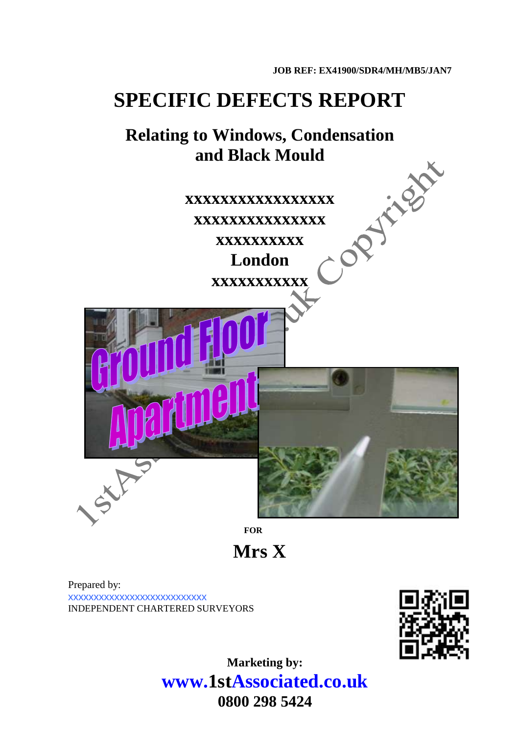# **SPECIFIC DEFECTS REPORT**

# **Relating to Windows, Condensation**

**and Black Mould xxxxxxxxxxxxxxxxx xxxxxxxxxxxxxxx xxxxxxxxxx**

**London xxxxxxxxxxx**



*FOR* 

**Mrs X**

Prepared by: xxxxxxxxxxxxxxxxxxxxxxxxxxx INDEPENDENT CHARTERED SURVEYORS



**Marketing by: www.1stAssociated.co.uk 0800 298 5424**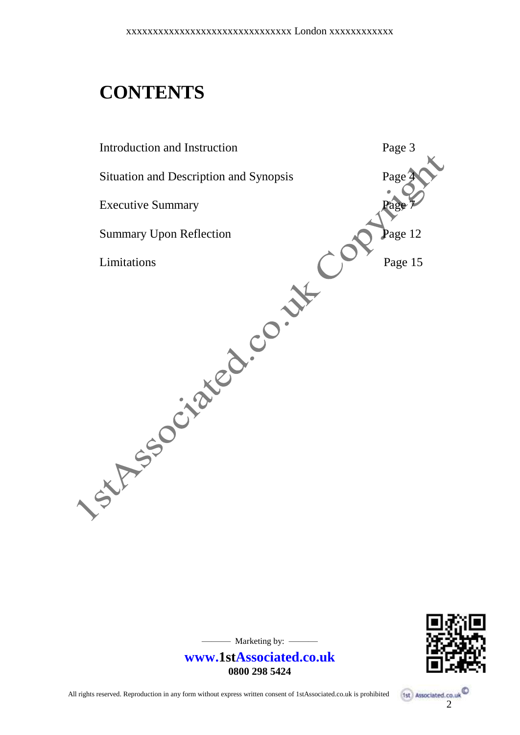# **CONTENTS**

Introduction and Instruction **Page 3** Situation and Description and Synopsis Page<sup>1</sup> Executive Summary **Page 7** Summary Upon Reflection Page 12 Limitations Page 15



— Marketing by: —

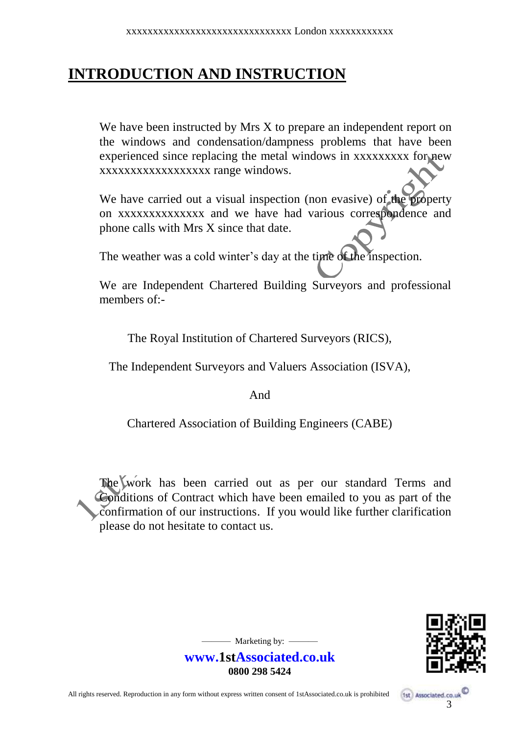# **INTRODUCTION AND INSTRUCTION**

We have been instructed by Mrs X to prepare an independent report on the windows and condensation/dampness problems that have been experienced since replacing the metal windows in xxxxxxxxx for new xxxxxxxxxxxxxxxxxx range windows.

We have carried out a visual inspection (non evasive) of the property on xxxxxxxxxxxxxx and we have had various correspondence and phone calls with Mrs X since that date.

The weather was a cold winter's day at the time of the inspection.

We are Independent Chartered Building Surveyors and professional members of:-

The Royal Institution of Chartered Surveyors (RICS),

The Independent Surveyors and Valuers Association (ISVA),

And

Chartered Association of Building Engineers (CABE)

The Work has been carried out as per our standard Terms and Conditions of Contract which have been emailed to you as part of the confirmation of our instructions. If you would like further clarification please do not hesitate to contact us.



 $-$  Marketing by:  $-$ 

**www.1stAssociated.co.uk 0800 298 5424**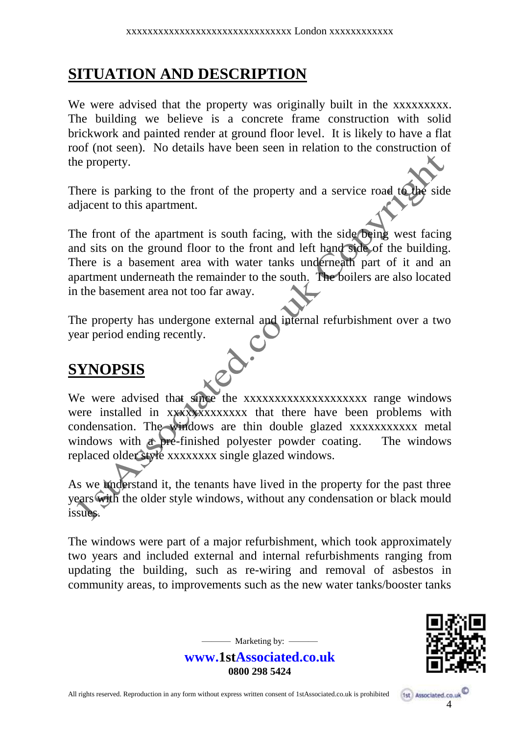# **SITUATION AND DESCRIPTION**

We were advised that the property was originally built in the xxxxxxxxx. The building we believe is a concrete frame construction with solid brickwork and painted render at ground floor level. It is likely to have a flat roof (not seen). No details have been seen in relation to the construction of the property.

There is parking to the front of the property and a service road to the side adjacent to this apartment.

The front of the apartment is south facing, with the side being west facing and sits on the ground floor to the front and left hand side of the building. There is a basement area with water tanks underneath part of it and an apartment underneath the remainder to the south. The boilers are also located in the basement area not too far away.

The property has undergone external and internal refurbishment over a two year period ending recently.  $\mathbf{\hat{o}}$ 

# **SYNOPSIS**

We were advised that since the xxxxxxxxxxxxxxxxxxxx range windows were installed in xxxxxxxxxxxxx that there have been problems with condensation. The windows are thin double glazed xxxxxxxxxxx metal windows with a pre-finished polyester powder coating. The windows replaced older style xxxxxxxx single glazed windows.

As we understand it, the tenants have lived in the property for the past three years with the older style windows, without any condensation or black mould issues.

The windows were part of a major refurbishment, which took approximately two years and included external and internal refurbishments ranging from updating the building, such as re-wiring and removal of asbestos in community areas, to improvements such as the new water tanks/booster tanks



**www.1stAssociated.co.uk 0800 298 5424**

 $-$  Marketing by:  $-$ 

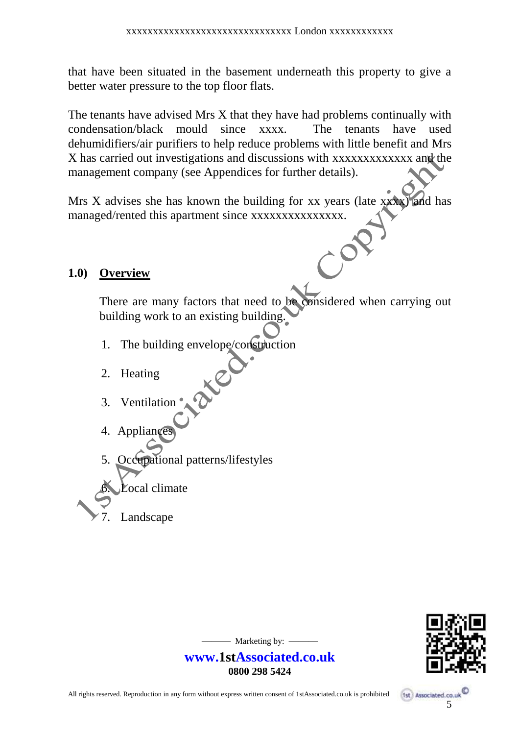that have been situated in the basement underneath this property to give a better water pressure to the top floor flats.

The tenants have advised Mrs X that they have had problems continually with condensation/black mould since xxxx. The tenants have used dehumidifiers/air purifiers to help reduce problems with little benefit and Mrs X has carried out investigations and discussions with xxxxxxxxxxxxx and the management company (see Appendices for further details).

Mrs X advises she has known the building for xx years (late xxxx) and has managed/rented this apartment since xxxxxxxxxxxxxxx.

#### **1.0) Overview**

There are many factors that need to be considered when carrying out building work to an existing building.

- 1. The building envelope/construction
- 2. Heating
- 3. Ventilation
- 4. Appliance
- 5. Occupational patterns/lifestyles
- ócal climate
	- Landscape



- Marketing by: -

**www.1stAssociated.co.uk 0800 298 5424**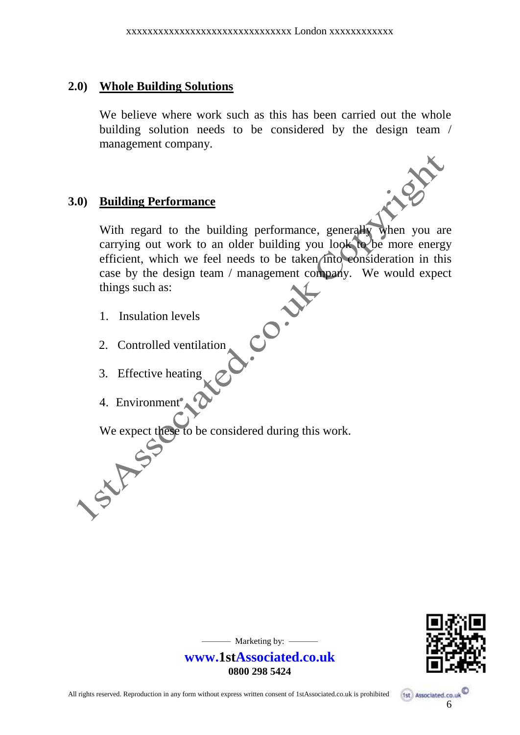#### **2.0) Whole Building Solutions**

We believe where work such as this has been carried out the whole building solution needs to be considered by the design team / management company.

#### **3.0) Building Performance**

With regard to the building performance, generally when you are carrying out work to an older building you look to be more energy efficient, which we feel needs to be taken into consideration in this case by the design team / management company. We would expect things such as:

**CO.** 

- 1. Insulation levels
- 2. Controlled ventilation
- 3. Effective heating
- 4. Environment

We expect these to be considered during this work.



 $-$  Marketing by:  $-$ 

**www.1stAssociated.co.uk 0800 298 5424**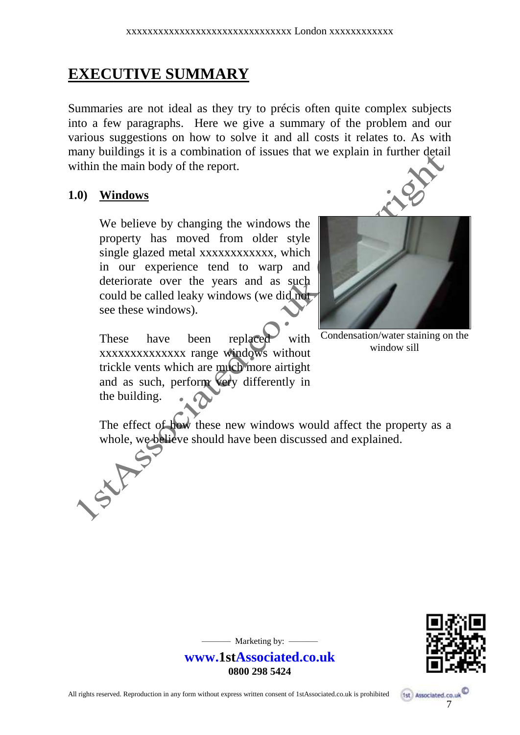# **EXECUTIVE SUMMARY**

Summaries are not ideal as they try to précis often quite complex subjects into a few paragraphs. Here we give a summary of the problem and our various suggestions on how to solve it and all costs it relates to. As with many buildings it is a combination of issues that we explain in further detail within the main body of the report.

#### **1.0) Windows**

SXF

We believe by changing the windows the property has moved from older style single glazed metal xxxxxxxxxxxx, which in our experience tend to warp and deteriorate over the years and as such could be called leaky windows (we did not see these windows).

These have been replaced with xxxxxxxxxxxxxx range windows without trickle vents which are much more airtight and as such, perform very differently in the building.





Condensation/water staining on the window sill

The effect of how these new windows would affect the property as a whole, we believe should have been discussed and explained.



7

1st Associated.co.u

- Marketing by: -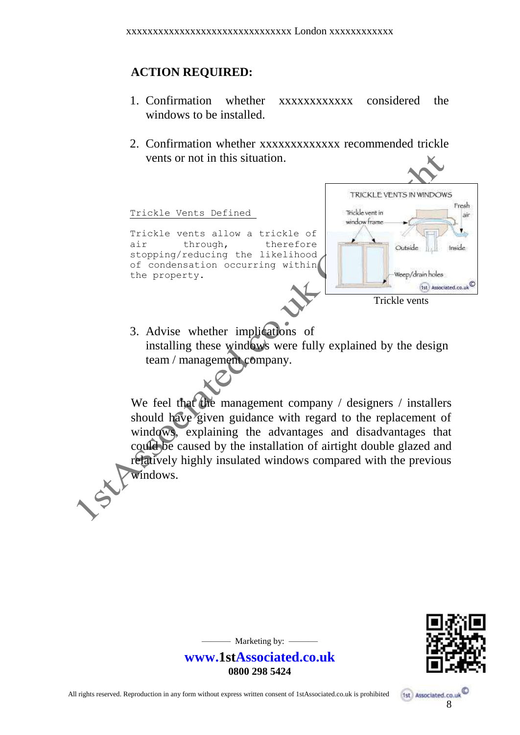#### **ACTION REQUIRED:**

- 1. Confirmation whether xxxxxxxxxxxxx considered the windows to be installed.
- 2. Confirmation whether xxxxxxxxxxxxx recommended trickle vents or not in this situation.



3. Advise whether implications of installing these windows were fully explained by the design team / management company.

We feel that the management company / designers / installers should have given guidance with regard to the replacement of windows, explaining the advantages and disadvantages that could be caused by the installation of airtight double glazed and relatively highly insulated windows compared with the previous windows.



 $-$  Marketing by:  $-$ 

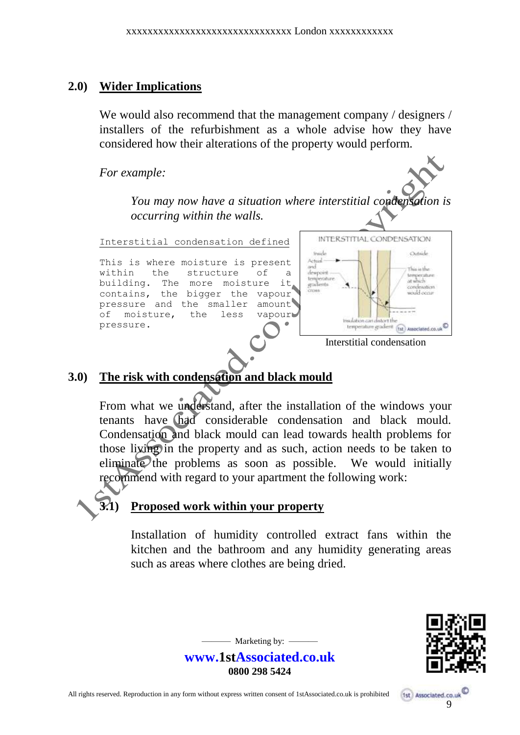#### **2.0) Wider Implications**

We would also recommend that the management company / designers / installers of the refurbishment as a whole advise how they have considered how their alterations of the property would perform.

*For example:*

*You may now have a situation where interstitial condensation is occurring within the walls.*

Interstitial condensation defined

This is where moisture is present within the structure of building. The more moisture it contains, the bigger the vapour pressure and the smaller amount of moisture, the less vapour pressure.



Interstitial condensation

## **3.0) The risk with condensation and black mould**

From what we understand, after the installation of the windows your tenants have had considerable condensation and black mould. Condensation and black mould can lead towards health problems for those living in the property and as such, action needs to be taken to eliminate the problems as soon as possible. We would initially recommend with regard to your apartment the following work:



## **3.1) Proposed work within your property**

Installation of humidity controlled extract fans within the kitchen and the bathroom and any humidity generating areas such as areas where clothes are being dried.



**www.1stAssociated.co.uk 0800 298 5424**

 $-$  Marketing by:  $-$ 

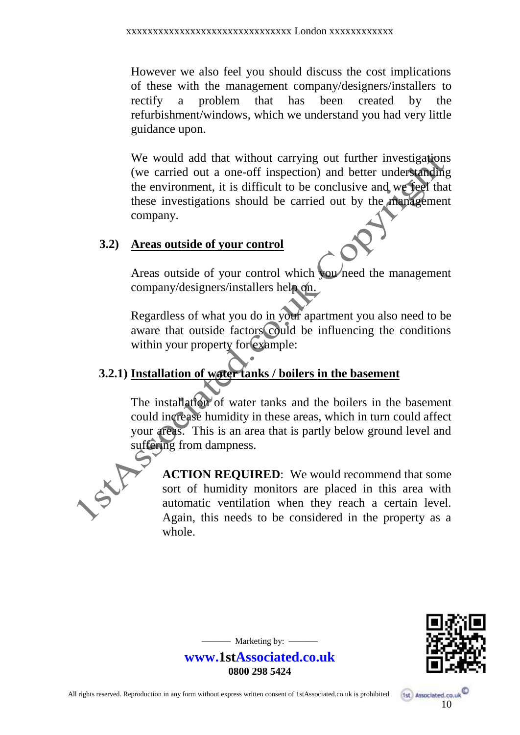However we also feel you should discuss the cost implications of these with the management company/designers/installers to rectify a problem that has been created by the refurbishment/windows, which we understand you had very little guidance upon.

We would add that without carrying out further investigations (we carried out a one-off inspection) and better understanding the environment, it is difficult to be conclusive and we feel that these investigations should be carried out by the management company.

#### **3.2) Areas outside of your control**

Areas outside of your control which you need the management company/designers/installers help on.

Regardless of what you do in your apartment you also need to be aware that outside factors could be influencing the conditions within your property for example:

## **3.2.1) Installation of water tanks / boilers in the basement**

The installation of water tanks and the boilers in the basement could increase humidity in these areas, which in turn could affect your areas. This is an area that is partly below ground level and suffering from dampness.



**ACTION REQUIRED**: We would recommend that some sort of humidity monitors are placed in this area with automatic ventilation when they reach a certain level. Again, this needs to be considered in the property as a whole.



10

1st Associated.co.uk

 $-$  Marketing by:  $-$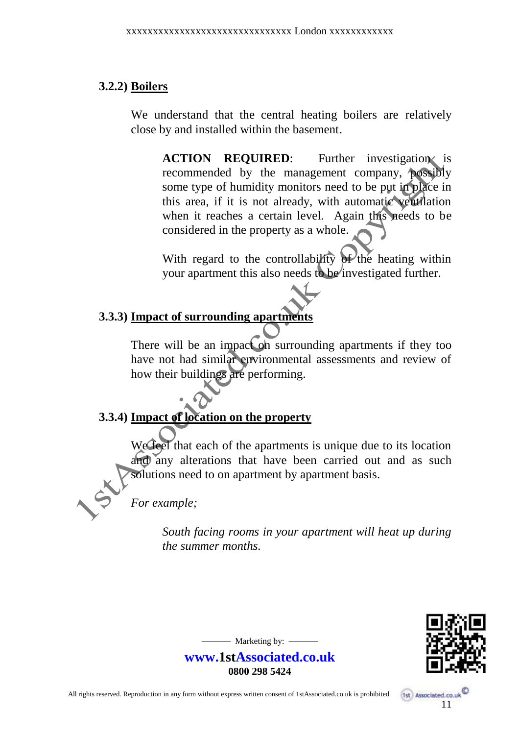#### **3.2.2) Boilers**

We understand that the central heating boilers are relatively close by and installed within the basement.

**ACTION REQUIRED:** Further investigation is recommended by the management company, possibly some type of humidity monitors need to be put in place in this area, if it is not already, with automatic ventilation when it reaches a certain level. Again this needs to be considered in the property as a whole.

With regard to the controllability of the heating within your apartment this also needs to be investigated further.

## **3.3.3) Impact of surrounding apartments**

There will be an impact on surrounding apartments if they too have not had similar environmental assessments and review of how their buildings are performing.

# **3.3.4) Impact of location on the property**

We feel that each of the apartments is unique due to its location and any alterations that have been carried out and as such solutions need to on apartment by apartment basis.

*For example;*

*South facing rooms in your apartment will heat up during the summer months.*



 $-$  Marketing by:  $-$ 

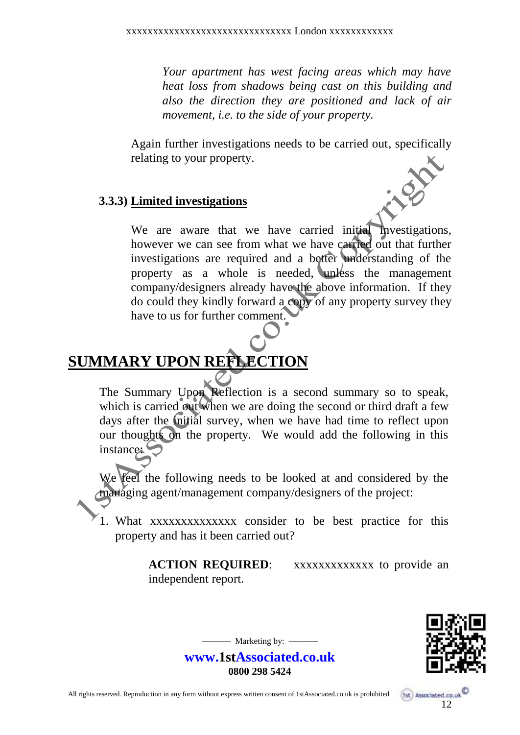*Your apartment has west facing areas which may have heat loss from shadows being cast on this building and also the direction they are positioned and lack of air movement, i.e. to the side of your property.*

Again further investigations needs to be carried out, specifically relating to your property.

#### **3.3.3) Limited investigations**

We are aware that we have carried initial investigations, however we can see from what we have carried out that further investigations are required and a better understanding of the property as a whole is needed, unless the management company/designers already have the above information. If they do could they kindly forward a copy of any property survey they have to us for further comment.

# **SUMMARY UPON REFLECTION**

The Summary Upon Reflection is a second summary so to speak, which is carried out when we are doing the second or third draft a few days after the *initial* survey, when we have had time to reflect upon our thoughts on the property. We would add the following in this instance:

feel the following needs to be looked at and considered by the managing agent/management company/designers of the project:

1. What xxxxxxxxxxxxxx consider to be best practice for this property and has it been carried out?

> **ACTION REQUIRED:** xxxxxxxxxxxxx to provide an independent report.



 $-$  Marketing by:  $-$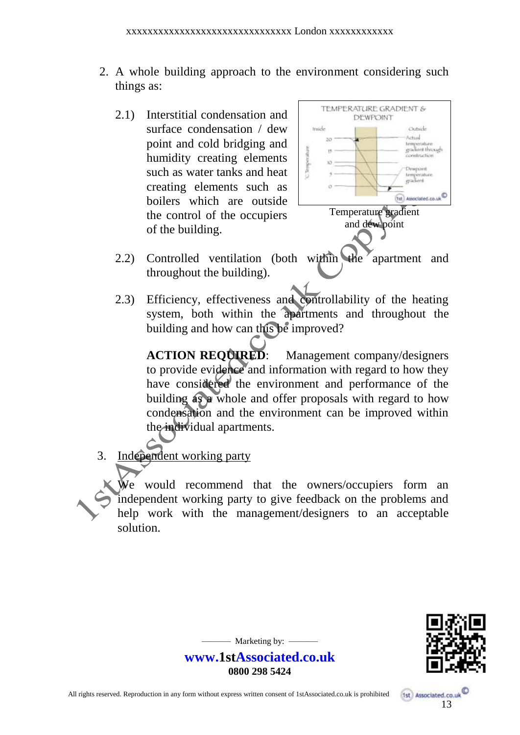- 2. A whole building approach to the environment considering such things as:
	- 2.1) Interstitial condensation and surface condensation / dew point and cold bridging and humidity creating elements such as water tanks and heat creating elements such as boilers which are outside the control of the occupiers of the building.



- 2.2) Controlled ventilation (both within the apartment and throughout the building).
- 2.3) Efficiency, effectiveness and controllability of the heating system, both within the apartments and throughout the building and how can this be improved?

**ACTION REQUIRED:** Management company/designers to provide evidence and information with regard to how they have considered the environment and performance of the building as a whole and offer proposals with regard to how condensation and the environment can be improved within the individual apartments.

3. Independent working party

We would recommend that the owners/occupiers form an independent working party to give feedback on the problems and help work with the management/designers to an acceptable solution.



 $-$  Marketing by:  $-$ 

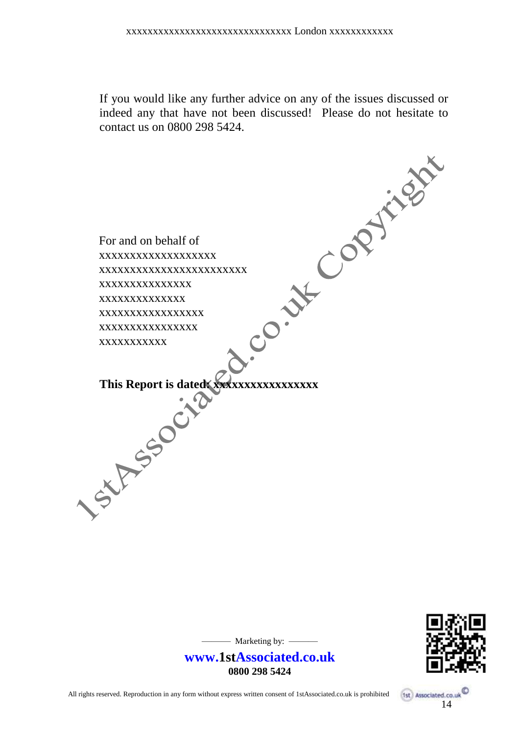If you would like any further advice on any of the issues discussed or indeed any that have not been discussed! Please do not hesitate to





— Marketing by: —

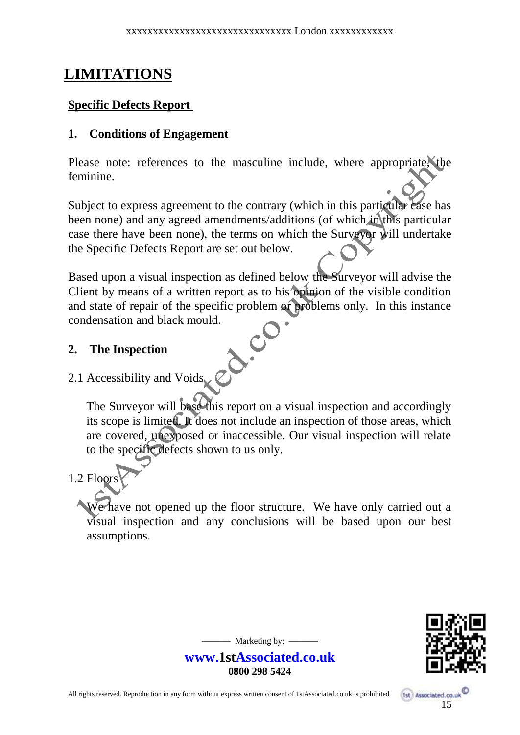# **LIMITATIONS**

#### **Specific Defects Report**

#### **1. Conditions of Engagement**

Please note: references to the masculine include, where appropriate, the feminine.

Subject to express agreement to the contrary (which in this particular case has been none) and any agreed amendments/additions (of which in this particular case there have been none), the terms on which the Surveyor will undertake the Specific Defects Report are set out below.

Based upon a visual inspection as defined below the Surveyor will advise the Client by means of a written report as to his opinion of the visible condition and state of repair of the specific problem or problems only. In this instance condensation and black mould.  $\delta$ .

#### **2. The Inspection**

#### 2.1 Accessibility and Voids

The Surveyor will base this report on a visual inspection and accordingly its scope is limited. It does not include an inspection of those areas, which are covered, unexposed or inaccessible. Our visual inspection will relate to the specific defects shown to us only.

## 1.2 Floors

We have not opened up the floor structure. We have only carried out a visual inspection and any conclusions will be based upon our best assumptions.



 $-$  Marketing by:  $-$ 

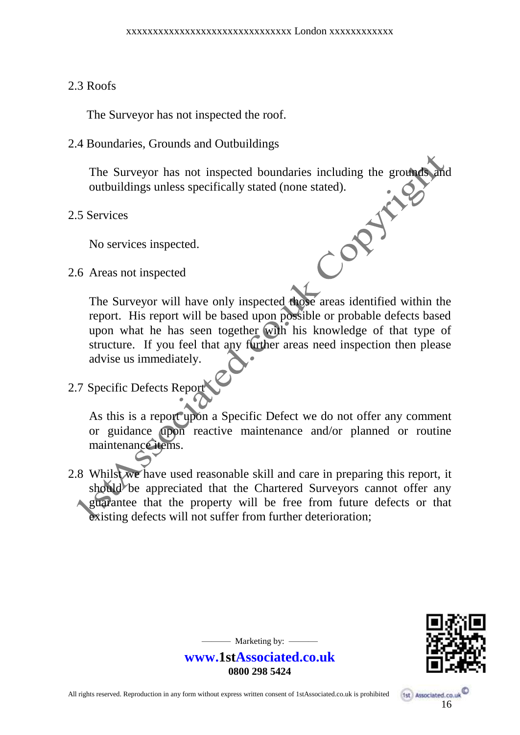#### 2.3 Roofs

The Surveyor has not inspected the roof.

2.4 Boundaries, Grounds and Outbuildings

The Surveyor has not inspected boundaries including the grounds and outbuildings unless specifically stated (none stated).<br>Services<br>No services inspected.<br>Areas not inspected outbuildings unless specifically stated (none stated).

2.5 Services

No services inspected.

2.6 Areas not inspected

The Surveyor will have only inspected those areas identified within the report. His report will be based upon possible or probable defects based upon what he has seen together with his knowledge of that type of structure. If you feel that any further areas need inspection then please advise us immediately.

# 2.7 Specific Defects Report

As this is a report upon a Specific Defect we do not offer any comment or guidance upon reactive maintenance and/or planned or routine maintenance items.

2.8 Whilst we have used reasonable skill and care in preparing this report, it should be appreciated that the Chartered Surveyors cannot offer any **A guarantee that the property will be free from future defects or that** existing defects will not suffer from further deterioration;



 $-$  Marketing by:  $-$ 

**www.1stAssociated.co.uk 0800 298 5424**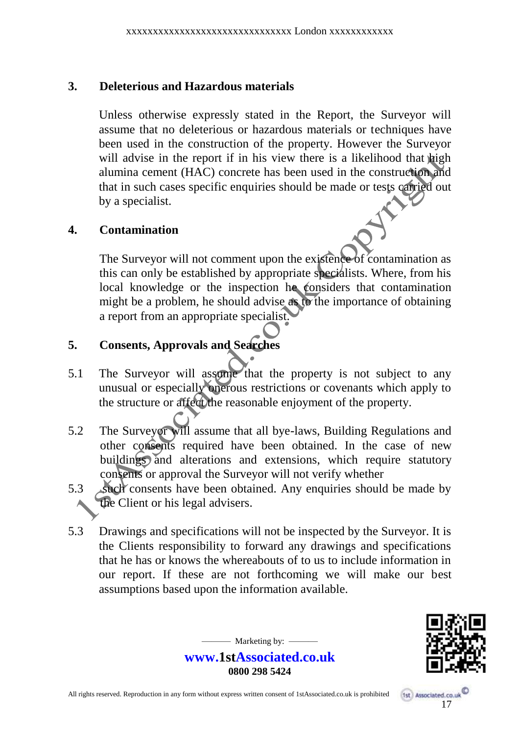#### **3. Deleterious and Hazardous materials**

Unless otherwise expressly stated in the Report, the Surveyor will assume that no deleterious or hazardous materials or techniques have been used in the construction of the property. However the Surveyor will advise in the report if in his view there is a likelihood that high alumina cement (HAC) concrete has been used in the construction and that in such cases specific enquiries should be made or tests carried out by a specialist.

## **4. Contamination**

The Surveyor will not comment upon the existence of contamination as this can only be established by appropriate specialists. Where, from his local knowledge or the inspection he considers that contamination might be a problem, he should advise as to the importance of obtaining a report from an appropriate specialist.

## **5. Consents, Approvals and Searches**

- 5.1 The Surveyor will assume that the property is not subject to any unusual or especially onerous restrictions or covenants which apply to the structure or affect the reasonable enjoyment of the property.
- 5.2 The Surveyor will assume that all bye-laws, Building Regulations and other consents required have been obtained. In the case of new buildings and alterations and extensions, which require statutory consents or approval the Surveyor will not verify whether
- 5.3 such consents have been obtained. Any enquiries should be made by the Client or his legal advisers.
- 5.3 Drawings and specifications will not be inspected by the Surveyor. It is the Clients responsibility to forward any drawings and specifications that he has or knows the whereabouts of to us to include information in our report. If these are not forthcoming we will make our best assumptions based upon the information available.



**www.1stAssociated.co.uk 0800 298 5424**

 $-$  Marketing by:  $-$